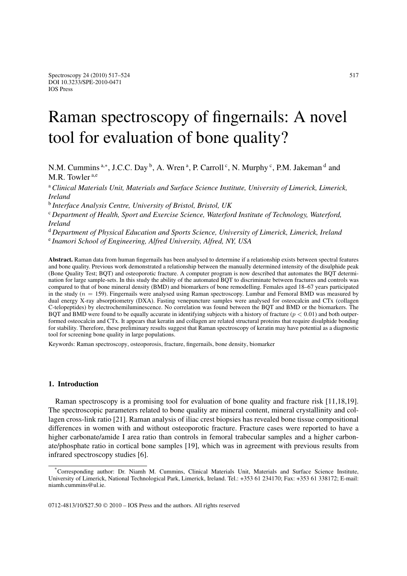# Raman spectroscopy of fingernails: A novel tool for evaluation of bone quality?

N.M. Cummins<sup>a,∗</sup>, J.C.C. Day <sup>b</sup>, A. Wren<sup>a</sup>, P. Carroll<sup>c</sup>, N. Murphy<sup>c</sup>, P.M. Jakeman<sup>d</sup> and M.R. Towler a,e

<sup>a</sup> *Clinical Materials Unit, Materials and Surface Science Institute, University of Limerick, Limerick, Ireland*

<sup>b</sup> *Interface Analysis Centre, University of Bristol, Bristol, UK*

<sup>c</sup> *Department of Health, Sport and Exercise Science, Waterford Institute of Technology, Waterford, Ireland*

<sup>d</sup> *Department of Physical Education and Sports Science, University of Limerick, Limerick, Ireland* <sup>e</sup> *Inamori School of Engineering, Alfred University, Alfred, NY, USA*

**Abstract.** Raman data from human fingernails has been analysed to determine if a relationship exists between spectral features and bone quality. Previous work demonstrated a relationship between the manually determined intensity of the disulphide peak (Bone Quality Test; BQT) and osteoporotic fracture. A computer program is now described that automates the BQT determination for large sample-sets. In this study the ability of the automated BQT to discriminate between fractures and controls was compared to that of bone mineral density (BMD) and biomarkers of bone remodelling. Females aged 18–67 years participated in the study ( $n = 159$ ). Fingernails were analysed using Raman spectroscopy. Lumbar and Femoral BMD was measured by dual energy X-ray absorptiometry (DXA). Fasting venepuncture samples were analysed for osteocalcin and CTx (collagen C-telopeptides) by electrochemiluminescence. No correlation was found between the BQT and BMD or the biomarkers. The BQT and BMD were found to be equally accurate in identifying subjects with a history of fracture  $(p < 0.01)$  and both outperformed osteocalcin and CTx. It appears that keratin and collagen are related structural proteins that require disulphide bonding for stability. Therefore, these preliminary results suggest that Raman spectroscopy of keratin may have potential as a diagnostic tool for screening bone quality in large populations.

Keywords: Raman spectroscopy, osteoporosis, fracture, fingernails, bone density, biomarker

# **1. Introduction**

Raman spectroscopy is a promising tool for evaluation of bone quality and fracture risk [11,18,19]. The spectroscopic parameters related to bone quality are mineral content, mineral crystallinity and collagen cross-link ratio [21]. Raman analysis of iliac crest biopsies has revealed bone tissue compositional differences in women with and without osteoporotic fracture. Fracture cases were reported to have a higher carbonate/amide I area ratio than controls in femoral trabecular samples and a higher carbonate/phosphate ratio in cortical bone samples [19], which was in agreement with previous results from infrared spectroscopy studies [6].

0712-4813/10/\$27.50 © 2010 – IOS Press and the authors. All rights reserved

<sup>\*</sup>Corresponding author: Dr. Niamh M. Cummins, Clinical Materials Unit, Materials and Surface Science Institute, University of Limerick, National Technological Park, Limerick, Ireland. Tel.: +353 61 234170; Fax: +353 61 338172; E-mail: niamh.cummins@ul.ie.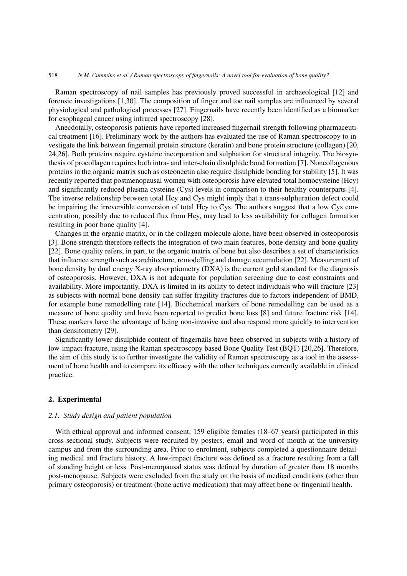## 518 *N.M. Cummins et al. / Raman spectroscopy of fingernails: A novel tool for evaluation of bone quality?*

Raman spectroscopy of nail samples has previously proved successful in archaeological [12] and forensic investigations [1,30]. The composition of finger and toe nail samples are influenced by several physiological and pathological processes [27]. Fingernails have recently been identified as a biomarker for esophageal cancer using infrared spectroscopy [28].

Anecdotally, osteoporosis patients have reported increased fingernail strength following pharmaceutical treatment [16]. Preliminary work by the authors has evaluated the use of Raman spectroscopy to investigate the link between fingernail protein structure (keratin) and bone protein structure (collagen) [20, 24,26]. Both proteins require cysteine incorporation and sulphation for structural integrity. The biosynthesis of procollagen requires both intra- and inter-chain disulphide bond formation [7]. Noncollagenous proteins in the organic matrix such as osteonectin also require disulphide bonding for stability [5]. It was recently reported that postmenopausal women with osteoporosis have elevated total homocysteine (Hcy) and significantly reduced plasma cysteine (Cys) levels in comparison to their healthy counterparts [4]. The inverse relationship between total Hcy and Cys might imply that a trans-sulphuration defect could be impairing the irreversible conversion of total Hcy to Cys. The authors suggest that a low Cys concentration, possibly due to reduced flux from Hcy, may lead to less availability for collagen formation resulting in poor bone quality [4].

Changes in the organic matrix, or in the collagen molecule alone, have been observed in osteoporosis [3]. Bone strength therefore reflects the integration of two main features, bone density and bone quality [22]. Bone quality refers, in part, to the organic matrix of bone but also describes a set of characteristics that influence strength such as architecture, remodelling and damage accumulation [22]. Measurement of bone density by dual energy X-ray absorptiometry (DXA) is the current gold standard for the diagnosis of osteoporosis. However, DXA is not adequate for population screening due to cost constraints and availability. More importantly, DXA is limited in its ability to detect individuals who will fracture [23] as subjects with normal bone density can suffer fragility fractures due to factors independent of BMD, for example bone remodelling rate [14]. Biochemical markers of bone remodelling can be used as a measure of bone quality and have been reported to predict bone loss [8] and future fracture risk [14]. These markers have the advantage of being non-invasive and also respond more quickly to intervention than densitometry [29].

Significantly lower disulphide content of fingernails have been observed in subjects with a history of low-impact fracture, using the Raman spectroscopy based Bone Quality Test (BQT) [20,26]. Therefore, the aim of this study is to further investigate the validity of Raman spectroscopy as a tool in the assessment of bone health and to compare its efficacy with the other techniques currently available in clinical practice.

# **2. Experimental**

# *2.1. Study design and patient population*

With ethical approval and informed consent, 159 eligible females (18–67 years) participated in this cross-sectional study. Subjects were recruited by posters, email and word of mouth at the university campus and from the surrounding area. Prior to enrolment, subjects completed a questionnaire detailing medical and fracture history. A low-impact fracture was defined as a fracture resulting from a fall of standing height or less. Post-menopausal status was defined by duration of greater than 18 months post-menopause. Subjects were excluded from the study on the basis of medical conditions (other than primary osteoporosis) or treatment (bone active medication) that may affect bone or fingernail health.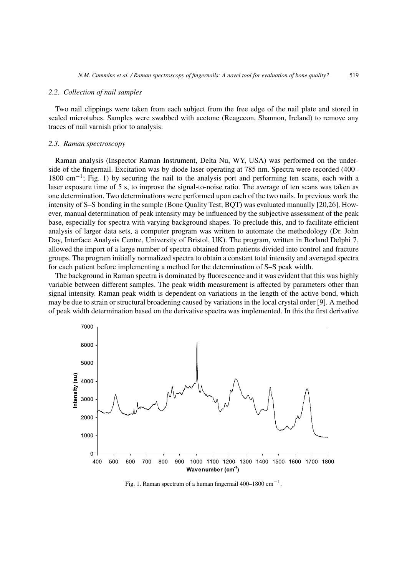## *2.2. Collection of nail samples*

Two nail clippings were taken from each subject from the free edge of the nail plate and stored in sealed microtubes. Samples were swabbed with acetone (Reagecon, Shannon, Ireland) to remove any traces of nail varnish prior to analysis.

## *2.3. Raman spectroscopy*

Raman analysis (Inspector Raman Instrument, Delta Nu, WY, USA) was performed on the underside of the fingernail. Excitation was by diode laser operating at 785 nm. Spectra were recorded (400– 1800 cm<sup>-1</sup>; Fig. 1) by securing the nail to the analysis port and performing ten scans, each with a laser exposure time of 5 s, to improve the signal-to-noise ratio. The average of ten scans was taken as one determination. Two determinations were performed upon each of the two nails. In previous work the intensity of S–S bonding in the sample (Bone Quality Test; BQT) was evaluated manually [20,26]. However, manual determination of peak intensity may be influenced by the subjective assessment of the peak base, especially for spectra with varying background shapes. To preclude this, and to facilitate efficient analysis of larger data sets, a computer program was written to automate the methodology (Dr. John Day, Interface Analysis Centre, University of Bristol, UK). The program, written in Borland Delphi 7, allowed the import of a large number of spectra obtained from patients divided into control and fracture groups. The program initially normalized spectra to obtain a constant total intensity and averaged spectra for each patient before implementing a method for the determination of S–S peak width.

The background in Raman spectra is dominated by fluorescence and it was evident that this was highly variable between different samples. The peak width measurement is affected by parameters other than signal intensity. Raman peak width is dependent on variations in the length of the active bond, which may be due to strain or structural broadening caused by variations in the local crystal order [9]. A method of peak width determination based on the derivative spectra was implemented. In this the first derivative



Fig. 1. Raman spectrum of a human fingernail 400–1800 cm<sup>-1</sup>.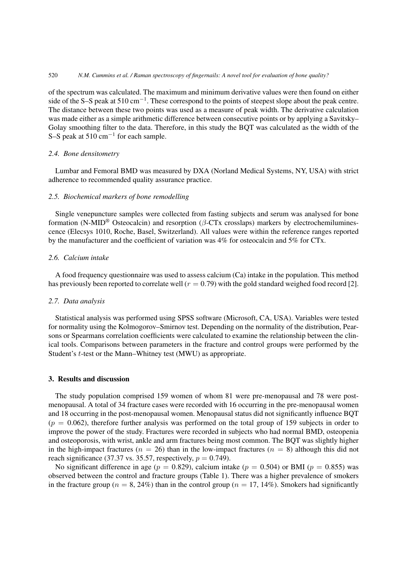of the spectrum was calculated. The maximum and minimum derivative values were then found on either side of the S–S peak at 510 cm<sup>-1</sup>. These correspond to the points of steepest slope about the peak centre. The distance between these two points was used as a measure of peak width. The derivative calculation was made either as a simple arithmetic difference between consecutive points or by applying a Savitsky– Golay smoothing filter to the data. Therefore, in this study the BQT was calculated as the width of the S–S peak at  $510 \text{ cm}^{-1}$  for each sample.

# *2.4. Bone densitometry*

Lumbar and Femoral BMD was measured by DXA (Norland Medical Systems, NY, USA) with strict adherence to recommended quality assurance practice.

#### *2.5. Biochemical markers of bone remodelling*

Single venepuncture samples were collected from fasting subjects and serum was analysed for bone formation (N-MID® Osteocalcin) and resorption (β-CTx crosslaps) markers by electrochemiluminescence (Elecsys 1010, Roche, Basel, Switzerland). All values were within the reference ranges reported by the manufacturer and the coefficient of variation was 4% for osteocalcin and 5% for CTx.

# *2.6. Calcium intake*

A food frequency questionnaire was used to assess calcium (Ca) intake in the population. This method has previously been reported to correlate well ( $r = 0.79$ ) with the gold standard weighed food record [2].

#### *2.7. Data analysis*

Statistical analysis was performed using SPSS software (Microsoft, CA, USA). Variables were tested for normality using the Kolmogorov–Smirnov test. Depending on the normality of the distribution, Pearsons or Spearmans correlation coefficients were calculated to examine the relationship between the clinical tools. Comparisons between parameters in the fracture and control groups were performed by the Student's t-test or the Mann–Whitney test (MWU) as appropriate.

# **3. Results and discussion**

The study population comprised 159 women of whom 81 were pre-menopausal and 78 were postmenopausal. A total of 34 fracture cases were recorded with 16 occurring in the pre-menopausal women and 18 occurring in the post-menopausal women. Menopausal status did not significantly influence BQT  $(p = 0.062)$ , therefore further analysis was performed on the total group of 159 subjects in order to improve the power of the study. Fractures were recorded in subjects who had normal BMD, osteopenia and osteoporosis, with wrist, ankle and arm fractures being most common. The BQT was slightly higher in the high-impact fractures ( $n = 26$ ) than in the low-impact fractures ( $n = 8$ ) although this did not reach significance (37.37 vs. 35.57, respectively,  $p = 0.749$ ).

No significant difference in age ( $p = 0.829$ ), calcium intake ( $p = 0.504$ ) or BMI ( $p = 0.855$ ) was observed between the control and fracture groups (Table 1). There was a higher prevalence of smokers in the fracture group ( $n = 8, 24\%$ ) than in the control group ( $n = 17, 14\%$ ). Smokers had significantly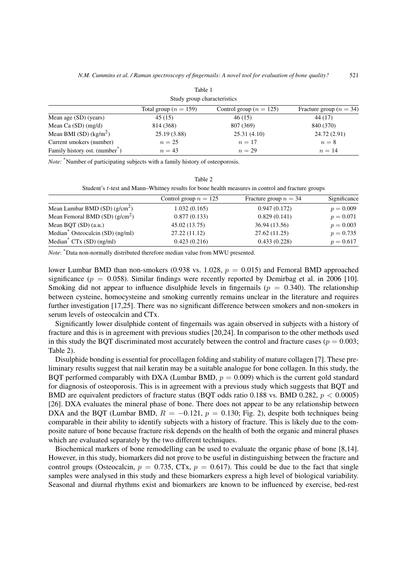| Study group characteristics                |                           |                             |                             |  |
|--------------------------------------------|---------------------------|-----------------------------|-----------------------------|--|
|                                            | Total group ( $n = 159$ ) | Control group ( $n = 125$ ) | Fracture group ( $n = 34$ ) |  |
| Mean age (SD) (years)                      | 45(15)                    | 46(15)                      | 44 (17)                     |  |
| Mean Ca $(SD)$ (mg/d)                      | 814 (368)                 | 807 (369)                   | 840 (370)                   |  |
| Mean BMI (SD) $(kg/m2)$                    | 25.19 (3.88)              | 25.31(4.10)                 | 24.72 (2.91)                |  |
| Current smokers (number)                   | $n=25$                    | $n=17$                      | $n=8$                       |  |
| Family history ost. (number <sup>*</sup> ) | $n=43$                    | $n=29$                      | $n=14$                      |  |

Table 1

*Note*: <sup>\*</sup>Number of participating subjects with a family history of osteoporosis.

| Student's t-test and Mann-Whitney results for bone health measures in control and fracture groups |                         |                         |              |  |
|---------------------------------------------------------------------------------------------------|-------------------------|-------------------------|--------------|--|
|                                                                                                   | Control group $n = 125$ | Fracture group $n = 34$ | Significance |  |
| Mean Lumbar BMD $(SD)$ (g/cm <sup>2</sup> )                                                       | 1.032(0.165)            | 0.947(0.172)            | $p = 0.009$  |  |
| Mean Femoral BMD (SD) $(g/cm^2)$                                                                  | 0.877(0.133)            | 0.829(0.141)            | $p = 0.071$  |  |
| Mean BQT (SD) (a.u.)                                                                              | 45.02 (13.75)           | 36.94 (13.56)           | $p = 0.003$  |  |
| Median <sup>*</sup> Osteocalcin (SD) (ng/ml)                                                      | 27.22 (11.12)           | 27.62 (11.25)           | $p = 0.735$  |  |
| Median <sup>*</sup> $CTx$ (SD) (ng/ml)                                                            | 0.423(0.216)            | 0.433(0.228)            | $p = 0.617$  |  |

Table 2

*Note*: \*Data non-normally distributed therefore median value from MWU presented.

lower Lumbar BMD than non-smokers (0.938 vs. 1.028,  $p = 0.015$ ) and Femoral BMD approached significance ( $p = 0.058$ ). Similar findings were recently reported by Demirbag et al. in 2006 [10]. Smoking did not appear to influence disulphide levels in fingernails ( $p = 0.340$ ). The relationship between cysteine, homocysteine and smoking currently remains unclear in the literature and requires further investigation [17,25]. There was no significant difference between smokers and non-smokers in serum levels of osteocalcin and CTx.

Significantly lower disulphide content of fingernails was again observed in subjects with a history of fracture and this is in agreement with previous studies [20,24]. In comparison to the other methods used in this study the BQT discriminated most accurately between the control and fracture cases ( $p = 0.003$ ; Table 2).

Disulphide bonding is essential for procollagen folding and stability of mature collagen [7]. These preliminary results suggest that nail keratin may be a suitable analogue for bone collagen. In this study, the BQT performed comparably with DXA (Lumbar BMD,  $p = 0.009$ ) which is the current gold standard for diagnosis of osteoporosis. This is in agreement with a previous study which suggests that BQT and BMD are equivalent predictors of fracture status (BQT odds ratio 0.188 vs. BMD 0.282,  $p < 0.0005$ ) [26]. DXA evaluates the mineral phase of bone. There does not appear to be any relationship between DXA and the BQT (Lumbar BMD,  $R = -0.121$ ,  $p = 0.130$ ; Fig. 2), despite both techniques being comparable in their ability to identify subjects with a history of fracture. This is likely due to the composite nature of bone because fracture risk depends on the health of both the organic and mineral phases which are evaluated separately by the two different techniques.

Biochemical markers of bone remodelling can be used to evaluate the organic phase of bone [8,14]. However, in this study, biomarkers did not prove to be useful in distinguishing between the fracture and control groups (Osteocalcin,  $p = 0.735$ , CTx,  $p = 0.617$ ). This could be due to the fact that single samples were analysed in this study and these biomarkers express a high level of biological variability. Seasonal and diurnal rhythms exist and biomarkers are known to be influenced by exercise, bed-rest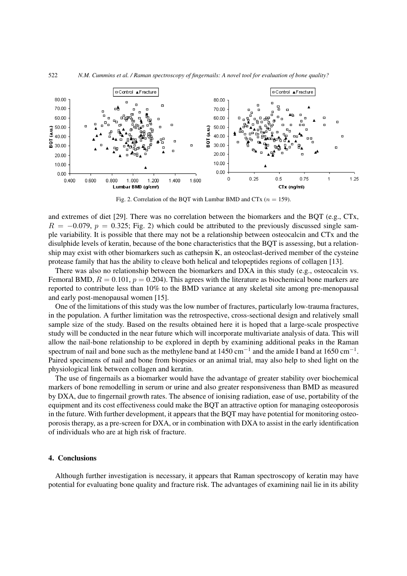

Fig. 2. Correlation of the BQT with Lumbar BMD and CTx ( $n = 159$ ).

and extremes of diet [29]. There was no correlation between the biomarkers and the BQT (e.g., CTx,  $R = -0.079$ ,  $p = 0.325$ ; Fig. 2) which could be attributed to the previously discussed single sample variability. It is possible that there may not be a relationship between osteocalcin and CTx and the disulphide levels of keratin, because of the bone characteristics that the BQT is assessing, but a relationship may exist with other biomarkers such as cathepsin K, an osteoclast-derived member of the cysteine protease family that has the ability to cleave both helical and telopeptides regions of collagen [13].

There was also no relationship between the biomarkers and DXA in this study (e.g., osteocalcin vs. Femoral BMD,  $R = 0.101$ ,  $p = 0.204$ ). This agrees with the literature as biochemical bone markers are reported to contribute less than 10% to the BMD variance at any skeletal site among pre-menopausal and early post-menopausal women [15].

One of the limitations of this study was the low number of fractures, particularly low-trauma fractures, in the population. A further limitation was the retrospective, cross-sectional design and relatively small sample size of the study. Based on the results obtained here it is hoped that a large-scale prospective study will be conducted in the near future which will incorporate multivariate analysis of data. This will allow the nail-bone relationship to be explored in depth by examining additional peaks in the Raman spectrum of nail and bone such as the methylene band at  $1450 \text{ cm}^{-1}$  and the amide I band at  $1650 \text{ cm}^{-1}$ . Paired specimens of nail and bone from biopsies or an animal trial, may also help to shed light on the physiological link between collagen and keratin.

The use of fingernails as a biomarker would have the advantage of greater stability over biochemical markers of bone remodelling in serum or urine and also greater responsiveness than BMD as measured by DXA, due to fingernail growth rates. The absence of ionising radiation, ease of use, portability of the equipment and its cost effectiveness could make the BQT an attractive option for managing osteoporosis in the future. With further development, it appears that the BQT may have potential for monitoring osteoporosis therapy, as a pre-screen for DXA, or in combination with DXA to assist in the early identification of individuals who are at high risk of fracture.

## **4. Conclusions**

Although further investigation is necessary, it appears that Raman spectroscopy of keratin may have potential for evaluating bone quality and fracture risk. The advantages of examining nail lie in its ability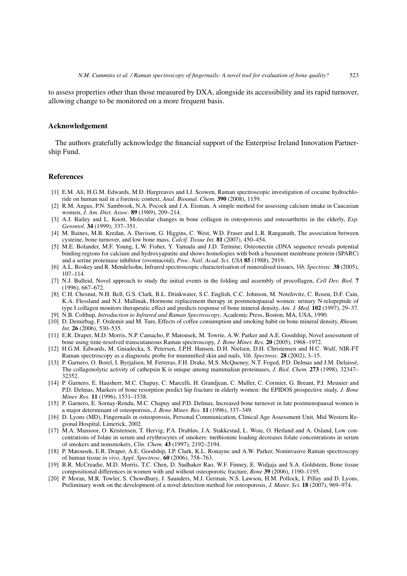to assess properties other than those measured by DXA, alongside its accessibility and its rapid turnover, allowing change to be monitored on a more frequent basis.

#### **Acknowledgement**

The authors gratefully acknowledge the financial support of the Enterprise Ireland Innovation Partnership Fund.

## **References**

- [1] E.M. Ali, H.G.M. Edwards, M.D. Hargreaves and I.J. Scowen, Raman spectroscopic investigation of cocaine hydrochloride on human nail in a forensic context, *Anal. Bioanal. Chem.* **390** (2008), 1159.
- [2] R.M. Angus, P.N. Sambrook, N.A. Pocock and J.A. Eisman, A simple method for assessing calcium intake in Caucasian women, *J. Am. Diet. Assoc.* **89** (1989), 209–214.
- [3] A.J. Bailey and L. Knott, Molecular changes in bone collagen in osteoporosis and osteoarthritis in the elderly, *Exp. Gerontol.* **34** (1999), 337–351.
- [4] M. Baines, M.B. Kredan, A. Davison, G. Higgins, C. West, W.D. Fraser and L.R. Ranganath, The association between cysteine, bone turnover, and low bone mass, *Calcif. Tissue Int.* **81** (2007), 450–454.
- [5] M.E. Bolander, M.F. Young, L.W. Fisher, Y. Yamada and J.D. Termine, Osteonectin cDNA sequence reveals potential binding regions for calcium and hydroxyapatite and shows homologies with both a basement membrane protein (SPARC) and a serine proteinase inhibitor (ovomucoid), *Proc. Natl. Acad. Sci. USA* **85** (1988), 2919.
- [6] A.L. Boskey and R. Mendelsohn, Infrared spectroscopic characterisation of mineralised tissues, *Vib. Spectrosc.* **38** (2005), 107–114.
- [7] N.J. Bulleid, Novel approach to study the initial events in the folding and assembly of procollagen, *Cell Dev. Biol.* **7** (1996), 667–672.
- [8] C.H. Chesnut, N.H. Bell, G.S. Clark, B.L. Drinkwater, S.C. English, C.C. Johnson, M. Notelovitz, C. Rosen, D.F. Cain, K.A. Flessland and N.J. Mallinak, Hormone replacement therapy in postmenopausal women: urinary N-telopeptide of type I collagen monitors therapeutic effect and predicts response of bone mineral density, *Am. J. Med.* **102** (1997), 29–37.
- [9] N.B. Colthup, *Introduction to Infrared and Raman Spectroscopy*, Academic Press, Boston, MA, USA, 1990.
- [10] D. Demirbag, F. Ozdemir and M. Ture, Effects of coffee consumption and smoking habit on bone mineral density, *Rheum. Int.* **26** (2006), 530–535.
- [11] E.R. Draper, M.D. Morris, N.P. Camacho, P. Matousek, M. Towrie, A.W. Parker and A.E. Goodship, Novel assessment of bone using time-resolved transcutaneous Raman spectroscopy, *J. Bone Miner. Res.* **20** (2005), 1968–1972.
- [12] H.G.M. Edwards, M. Gniadecka, S. Petersen, J.P.H. Hansen, D.H. Nielsen, D.H. Christensen and H.C. Wulf, NIR-FT Raman spectroscopy as a diagnostic probe for mummified skin and nails, *Vib. Spectrosc.* **28** (2002), 3–15.
- [13] P. Garnero, O. Borel, I. Byrjalsen, M. Ferreras, F.H. Drake, M.S. McQueney, N.T. Foged, P.D. Delmas and J.M. Delaissé, The collagenolytic activity of cathepsin K is unique among mammalian proteinases, *J. Biol. Chem.* **273** (1998), 32347– 32352.
- [14] P. Garnero, E. Hausherr, M.C. Chapuy, C. Marcelli, H. Grandjean, C. Muller, C. Cormier, G. Breant, P.J. Meunier and P.D. Delmas, Markers of bone resorption predict hip fracture in elderly women: the EPIDOS prospective study, *J. Bone Miner. Res.* **11** (1996), 1531–1538.
- [15] P. Garnero, E. Sornay-Rendu, M.C. Chapuy and P.D. Delmas, Increased bone turnover in late postmenopausal women is a major determinant of osteoporosis, *J. Bone Miner. Res.* **11** (1996), 337–349.
- [16] D. Lyons (MD), Fingernails in osteoporosis, Personal Communication, Clinical Age Assessment Unit, Mid Western Regional Hospital, Limerick, 2002.
- [17] M.A. Mansoor, O. Kristensen, T. Hervig, P.A. Drabløs, J.A. Stakkestad, L. Woie, O. Hetland and A. Osland, Low concentrations of folate in serum and erythrocytes of smokers: methionine loading decreases folate concentrations in serum of smokers and nonsmokers, *Clin. Chem.* **43** (1997), 2192–2194.
- [18] P. Matousek, E.R. Draper, A.E. Goodship, I.P. Clark, K.L. Ronayne and A.W. Parker, Noninvasive Raman spectroscopy of human tissue *in vivo*, *Appl. Spectrosc.* **60** (2006), 758–763.
- [19] B.R. McCreadie, M.D. Morris, T.C. Chen, D. Sudhaker Rao, W.F. Finney, E. Widjaja and S.A. Goldstein, Bone tissue compositional differences in women with and without osteoporotic fracture, *Bone* **39** (2006), 1190–1195.
- [20] P. Moran, M.R. Towler, S. Chowdhury, J. Saunders, M.J. German, N.S. Lawson, H.M. Pollock, I. Pillay and D. Lyons, Preliminary work on the development of a novel detection method for osteoporosis, *J. Mater. Sci.* **18** (2007), 969–974.